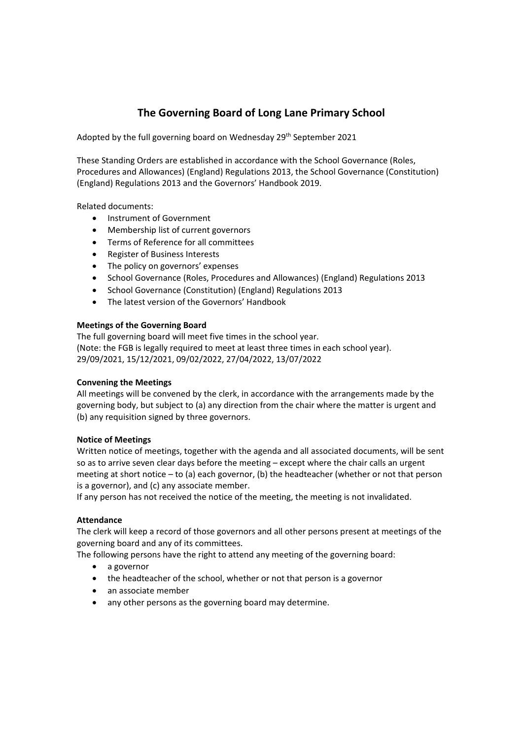# **The Governing Board of Long Lane Primary School**

Adopted by the full governing board on Wednesday 29<sup>th</sup> September 2021

These Standing Orders are established in accordance with the School Governance (Roles, Procedures and Allowances) (England) Regulations 2013, the School Governance (Constitution) (England) Regulations 2013 and the Governors' Handbook 2019.

Related documents:

- Instrument of Government
- Membership list of current governors
- Terms of Reference for all committees
- Register of Business Interests
- The policy on governors' expenses
- School Governance (Roles, Procedures and Allowances) (England) Regulations 2013
- School Governance (Constitution) (England) Regulations 2013
- The latest version of the Governors' Handbook

# **Meetings of the Governing Board**

The full governing board will meet five times in the school year. (Note: the FGB is legally required to meet at least three times in each school year). 29/09/2021, 15/12/2021, 09/02/2022, 27/04/2022, 13/07/2022

# **Convening the Meetings**

All meetings will be convened by the clerk, in accordance with the arrangements made by the governing body, but subject to (a) any direction from the chair where the matter is urgent and (b) any requisition signed by three governors.

# **Notice of Meetings**

Written notice of meetings, together with the agenda and all associated documents, will be sent so as to arrive seven clear days before the meeting – except where the chair calls an urgent meeting at short notice – to (a) each governor, (b) the headteacher (whether or not that person is a governor), and (c) any associate member.

If any person has not received the notice of the meeting, the meeting is not invalidated.

# **Attendance**

The clerk will keep a record of those governors and all other persons present at meetings of the governing board and any of its committees.

The following persons have the right to attend any meeting of the governing board:

- a governor
- the headteacher of the school, whether or not that person is a governor
- an associate member
- any other persons as the governing board may determine.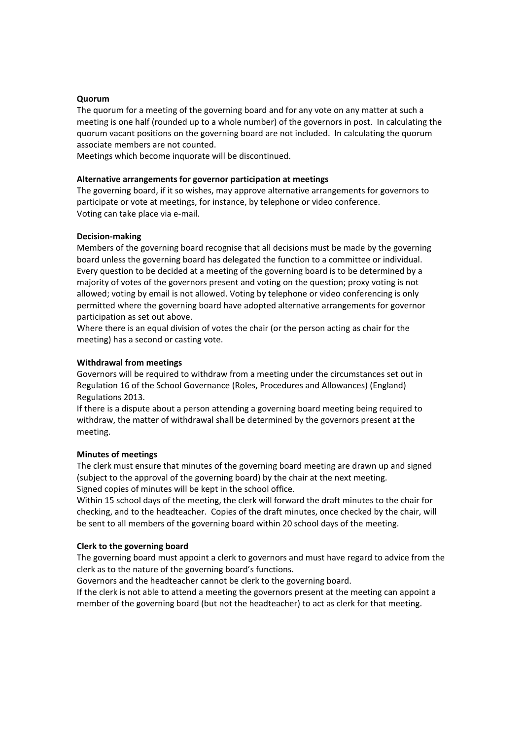## **Quorum**

The quorum for a meeting of the governing board and for any vote on any matter at such a meeting is one half (rounded up to a whole number) of the governors in post. In calculating the quorum vacant positions on the governing board are not included. In calculating the quorum associate members are not counted.

Meetings which become inquorate will be discontinued.

## **Alternative arrangements for governor participation at meetings**

The governing board, if it so wishes, may approve alternative arrangements for governors to participate or vote at meetings, for instance, by telephone or video conference. Voting can take place via e‐mail.

## **Decision‐making**

Members of the governing board recognise that all decisions must be made by the governing board unless the governing board has delegated the function to a committee or individual. Every question to be decided at a meeting of the governing board is to be determined by a majority of votes of the governors present and voting on the question; proxy voting is not allowed; voting by email is not allowed. Voting by telephone or video conferencing is only permitted where the governing board have adopted alternative arrangements for governor participation as set out above.

Where there is an equal division of votes the chair (or the person acting as chair for the meeting) has a second or casting vote.

## **Withdrawal from meetings**

Governors will be required to withdraw from a meeting under the circumstances set out in Regulation 16 of the School Governance (Roles, Procedures and Allowances) (England) Regulations 2013.

If there is a dispute about a person attending a governing board meeting being required to withdraw, the matter of withdrawal shall be determined by the governors present at the meeting.

#### **Minutes of meetings**

The clerk must ensure that minutes of the governing board meeting are drawn up and signed (subject to the approval of the governing board) by the chair at the next meeting. Signed copies of minutes will be kept in the school office.

Within 15 school days of the meeting, the clerk will forward the draft minutes to the chair for checking, and to the headteacher. Copies of the draft minutes, once checked by the chair, will be sent to all members of the governing board within 20 school days of the meeting.

#### **Clerk to the governing board**

The governing board must appoint a clerk to governors and must have regard to advice from the clerk as to the nature of the governing board's functions.

Governors and the headteacher cannot be clerk to the governing board.

If the clerk is not able to attend a meeting the governors present at the meeting can appoint a member of the governing board (but not the headteacher) to act as clerk for that meeting.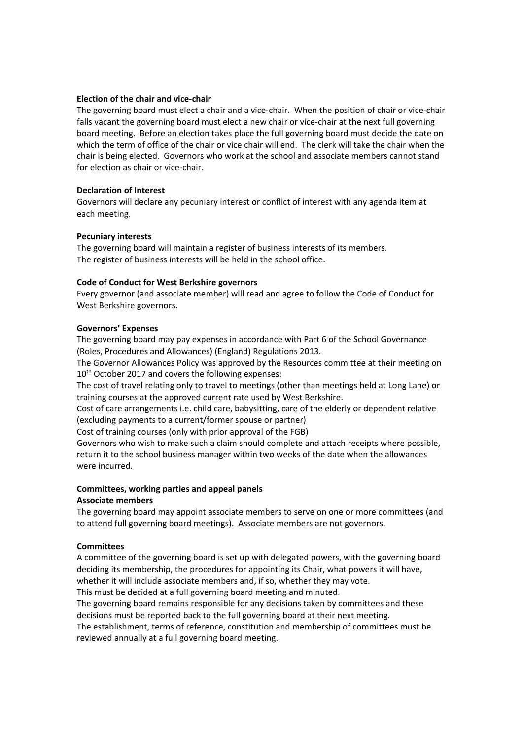## **Election of the chair and vice‐chair**

The governing board must elect a chair and a vice‐chair. When the position of chair or vice‐chair falls vacant the governing board must elect a new chair or vice-chair at the next full governing board meeting. Before an election takes place the full governing board must decide the date on which the term of office of the chair or vice chair will end. The clerk will take the chair when the chair is being elected. Governors who work at the school and associate members cannot stand for election as chair or vice‐chair.

## **Declaration of Interest**

Governors will declare any pecuniary interest or conflict of interest with any agenda item at each meeting.

## **Pecuniary interests**

The governing board will maintain a register of business interests of its members. The register of business interests will be held in the school office.

## **Code of Conduct for West Berkshire governors**

Every governor (and associate member) will read and agree to follow the Code of Conduct for West Berkshire governors.

## **Governors' Expenses**

The governing board may pay expenses in accordance with Part 6 of the School Governance (Roles, Procedures and Allowances) (England) Regulations 2013.

The Governor Allowances Policy was approved by the Resources committee at their meeting on 10<sup>th</sup> October 2017 and covers the following expenses:

The cost of travel relating only to travel to meetings (other than meetings held at Long Lane) or training courses at the approved current rate used by West Berkshire.

Cost of care arrangements i.e. child care, babysitting, care of the elderly or dependent relative (excluding payments to a current/former spouse or partner)

Cost of training courses (only with prior approval of the FGB)

Governors who wish to make such a claim should complete and attach receipts where possible, return it to the school business manager within two weeks of the date when the allowances were incurred.

## **Committees, working parties and appeal panels Associate members**

The governing board may appoint associate members to serve on one or more committees (and to attend full governing board meetings). Associate members are not governors.

## **Committees**

A committee of the governing board is set up with delegated powers, with the governing board deciding its membership, the procedures for appointing its Chair, what powers it will have, whether it will include associate members and, if so, whether they may vote.

This must be decided at a full governing board meeting and minuted.

The governing board remains responsible for any decisions taken by committees and these decisions must be reported back to the full governing board at their next meeting.

The establishment, terms of reference, constitution and membership of committees must be reviewed annually at a full governing board meeting.